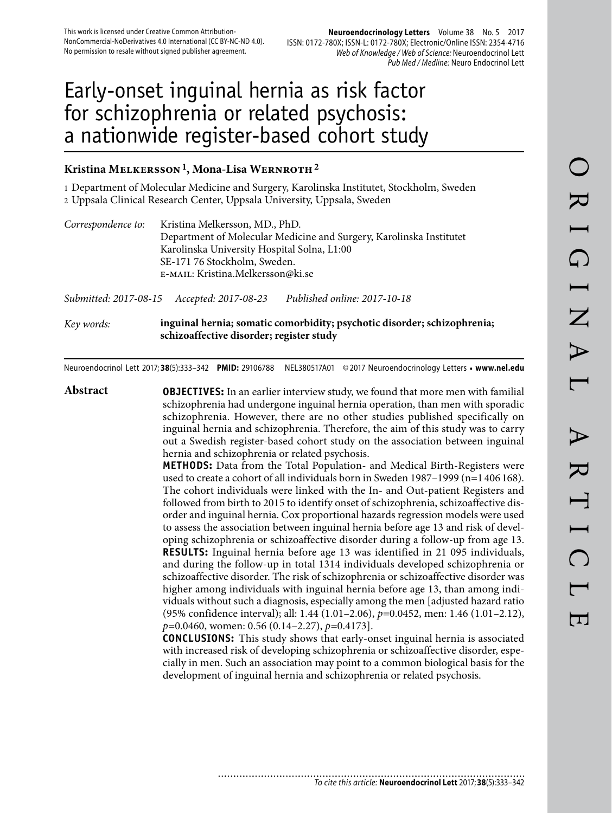# Early-onset inguinal hernia as risk factor for schizophrenia or related psychosis: a nationwide register-based cohort study

# **Kristina Melkersson 1, Mona-Lisa Wernroth 2**

1 Department of Molecular Medicine and Surgery, Karolinska Institutet, Stockholm, Sweden 2 Uppsala Clinical Research Center, Uppsala University, Uppsala, Sweden

| Correspondence to: | Kristina Melkersson, MD., PhD.<br>Department of Molecular Medicine and Surgery, Karolinska Institutet<br>Karolinska University Hospital Solna, L1:00<br>SE-171 76 Stockholm, Sweden.<br>E-MAIL: Kristina.Melkersson@ki.se |
|--------------------|---------------------------------------------------------------------------------------------------------------------------------------------------------------------------------------------------------------------------|
|                    |                                                                                                                                                                                                                           |

*Submitted: 2017-08-15 Accepted: 2017-08-23 Published online: 2017-10-18*

*Key words:* **inguinal hernia; somatic comorbidity; psychotic disorder; schizophrenia; schizoaffective disorder; register study**

Neuroendocrinol Lett 2017; **38**(5):333–342 **PMID:** 29106788 NEL380517A01 © 2017 Neuroendocrinology Letters • **www.nel.edu**

**Abstract OBJECTIVES:** In an earlier interview study, we found that more men with familial schizophrenia had undergone inguinal hernia operation, than men with sporadic schizophrenia. However, there are no other studies published specifically on inguinal hernia and schizophrenia. Therefore, the aim of this study was to carry out a Swedish register-based cohort study on the association between inguinal hernia and schizophrenia or related psychosis. **METHODS:** Data from the Total Population- and Medical Birth-Registers were used to create a cohort of all individuals born in Sweden 1987–1999 (n=1 406 168). The cohort individuals were linked with the In- and Out-patient Registers and followed from birth to 2015 to identify onset of schizophrenia, schizoaffective disorder and inguinal hernia. Cox proportional hazards regression models were used to assess the association between inguinal hernia before age 13 and risk of developing schizophrenia or schizoaffective disorder during a follow-up from age 13. **RESULTS:** Inguinal hernia before age 13 was identified in 21 095 individuals, and during the follow-up in total 1314 individuals developed schizophrenia or schizoaffective disorder. The risk of schizophrenia or schizoaffective disorder was higher among individuals with inguinal hernia before age 13, than among individuals without such a diagnosis, especially among the men [adjusted hazard ratio (95% confidence interval); all: 1.44 (1.01–2.06), *p=*0.0452, men: 1.46 (1.01–2.12), *p=*0.0460, women: 0.56 (0.14–2.27), *p=*0.4173]. **CONCLUSIONS:** This study shows that early-onset inguinal hernia is associated with increased risk of developing schizophrenia or schizoaffective disorder, especially in men. Such an association may point to a common biological basis for the development of inguinal hernia and schizophrenia or related psychosis.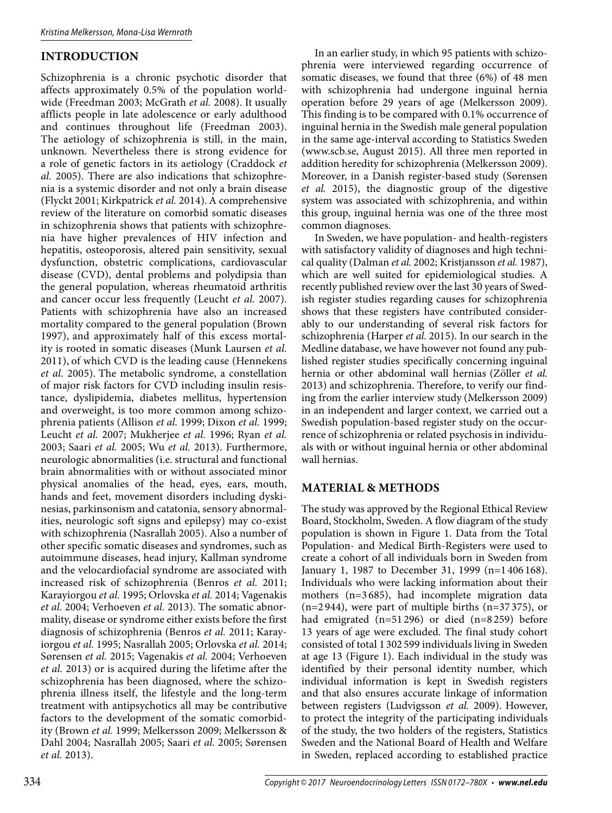# **INTRODUCTION**

Schizophrenia is a chronic psychotic disorder that affects approximately 0.5% of the population worldwide (Freedman 2003; McGrath *et al.* 2008). It usually afflicts people in late adolescence or early adulthood and continues throughout life (Freedman 2003). The aetiology of schizophrenia is still, in the main, unknown. Nevertheless there is strong evidence for a role of genetic factors in its aetiology (Craddock *et al.* 2005). There are also indications that schizophrenia is a systemic disorder and not only a brain disease (Flyckt 2001; Kirkpatrick *et al.* 2014).A comprehensive review of the literature on comorbid somatic diseases in schizophrenia shows that patients with schizophrenia have higher prevalences of HIV infection and hepatitis, osteoporosis, altered pain sensitivity, sexual dysfunction, obstetric complications, cardiovascular disease (CVD), dental problems and polydipsia than the general population, whereas rheumatoid arthritis and cancer occur less frequently (Leucht *et al.* 2007). Patients with schizophrenia have also an increased mortality compared to the general population (Brown 1997), and approximately half of this excess mortality is rooted in somatic diseases (Munk Laursen *et al.*  2011), of which CVD is the leading cause (Hennekens *et al.* 2005). The metabolic syndrome, a constellation of major risk factors for CVD including insulin resistance, dyslipidemia, diabetes mellitus, hypertension and overweight, is too more common among schizophrenia patients (Allison *et al.* 1999; Dixon *et al.* 1999; Leucht *et al.* 2007; Mukherjee *et al.* 1996; Ryan *et al.*  2003; Saari *et al.* 2005; Wu *et al.* 2013). Furthermore, neurologic abnormalities (i.e. structural and functional brain abnormalities with or without associated minor physical anomalies of the head, eyes, ears, mouth, hands and feet, movement disorders including dyskinesias, parkinsonism and catatonia, sensory abnormalities, neurologic soft signs and epilepsy) may co-exist with schizophrenia (Nasrallah 2005). Also a number of other specific somatic diseases and syndromes, such as autoimmune diseases, head injury, Kallman syndrome and the velocardiofacial syndrome are associated with increased risk of schizophrenia (Benros *et al.* 2011; Karayiorgou *et al.* 1995; Orlovska *et al.* 2014; Vagenakis *et al.* 2004; Verhoeven *et al.* 2013). The somatic abnormality, disease or syndrome either exists before the first diagnosis of schizophrenia (Benros *et al.* 2011; Karayiorgou *et al.* 1995; Nasrallah 2005; Orlovska *et al.* 2014; Sørensen *et al.* 2015; Vagenakis *et al.* 2004; Verhoeven *et al.* 2013) or is acquired during the lifetime after the schizophrenia has been diagnosed, where the schizophrenia illness itself, the lifestyle and the long-term treatment with antipsychotics all may be contributive factors to the development of the somatic comorbidity (Brown *et al.* 1999; Melkersson 2009; Melkersson & Dahl 2004; Nasrallah 2005; Saari *et al.* 2005; Sørensen *et al.* 2013).

In an earlier study, in which 95 patients with schizophrenia were interviewed regarding occurrence of somatic diseases, we found that three (6%) of 48 men with schizophrenia had undergone inguinal hernia operation before 29 years of age (Melkersson 2009). This finding is to be compared with 0.1% occurrence of inguinal hernia in the Swedish male general population in the same age-interval according to Statistics Sweden (www.scb.se, August 2015). All three men reported in addition heredity for schizophrenia (Melkersson 2009). Moreover, in a Danish register-based study (Sørensen *et al.* 2015), the diagnostic group of the digestive system was associated with schizophrenia, and within this group, inguinal hernia was one of the three most common diagnoses.

In Sweden, we have population- and health-registers with satisfactory validity of diagnoses and high technical quality (Dalman *et al.* 2002; Kristjansson *et al.* 1987), which are well suited for epidemiological studies. A recently published review over the last 30 years of Swedish register studies regarding causes for schizophrenia shows that these registers have contributed considerably to our understanding of several risk factors for schizophrenia (Harper *et al.* 2015). In our search in the Medline database, we have however not found any published register studies specifically concerning inguinal hernia or other abdominal wall hernias (Zöller *et al.*  2013) and schizophrenia. Therefore, to verify our finding from the earlier interview study (Melkersson 2009) in an independent and larger context, we carried out a Swedish population-based register study on the occurrence of schizophrenia or related psychosis in individuals with or without inguinal hernia or other abdominal wall hernias.

## **MATERIAL & METHODS**

The study was approved by the Regional Ethical Review Board, Stockholm, Sweden. A flow diagram of the study population is shown in Figure 1. Data from the Total Population- and Medical Birth-Registers were used to create a cohort of all individuals born in Sweden from January 1, 1987 to December 31, 1999 (n=1 406 168). Individuals who were lacking information about their mothers (n=3 685), had incomplete migration data  $(n=2944)$ , were part of multiple births  $(n=37375)$ , or had emigrated (n=51 296) or died (n=8 259) before 13 years of age were excluded. The final study cohort consisted of total 1 302 599 individuals living in Sweden at age 13 (Figure 1). Each individual in the study was identified by their personal identity number, which individual information is kept in Swedish registers and that also ensures accurate linkage of information between registers (Ludvigsson *et al.* 2009). However, to protect the integrity of the participating individuals of the study, the two holders of the registers, Statistics Sweden and the National Board of Health and Welfare in Sweden, replaced according to established practice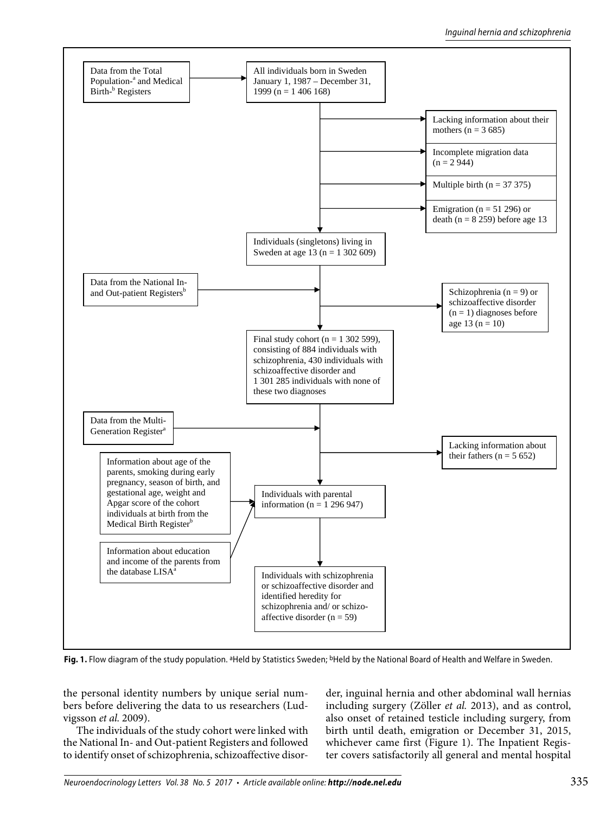

Fig. 1. Flow diagram of the study population. <sup>a</sup>Held by Statistics Sweden; <sup>b</sup>Held by the National Board of Health and Welfare in Sweden.

the personal identity numbers by unique serial numbers before delivering the data to us researchers (Ludvigsson *et al.* 2009).

The individuals of the study cohort were linked with the National In- and Out-patient Registers and followed to identify onset of schizophrenia, schizoaffective disorder, inguinal hernia and other abdominal wall hernias including surgery (Zöller *et al.* 2013), and as control, also onset of retained testicle including surgery, from birth until death, emigration or December 31, 2015, whichever came first (Figure 1). The Inpatient Register covers satisfactorily all general and mental hospital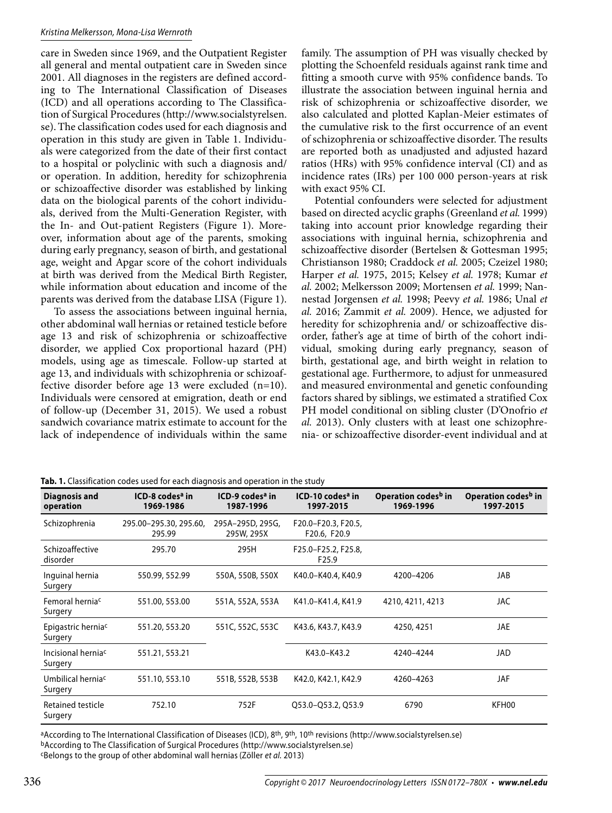### Kristina Melkersson, Mona-Lisa Wernroth

care in Sweden since 1969, and the Outpatient Register all general and mental outpatient care in Sweden since 2001. All diagnoses in the registers are defined according to The International Classification of Diseases (ICD) and all operations according to The Classification of Surgical Procedures (http://www.socialstyrelsen. se).The classification codes used for each diagnosis and operation in this study are given in Table 1. Individuals were categorized from the date of their first contact to a hospital or polyclinic with such a diagnosis and/ or operation. In addition, heredity for schizophrenia or schizoaffective disorder was established by linking data on the biological parents of the cohort individuals, derived from the Multi-Generation Register, with the In- and Out-patient Registers (Figure 1). Moreover, information about age of the parents, smoking during early pregnancy, season of birth, and gestational age, weight and Apgar score of the cohort individuals at birth was derived from the Medical Birth Register, while information about education and income of the parents was derived from the database LISA (Figure 1).

To assess the associations between inguinal hernia, other abdominal wall hernias or retained testicle before age 13 and risk of schizophrenia or schizoaffective disorder, we applied Cox proportional hazard (PH) models, using age as timescale. Follow-up started at age 13, and individuals with schizophrenia or schizoaffective disorder before age 13 were excluded (n=10). Individuals were censored at emigration, death or end of follow-up (December 31, 2015). We used a robust sandwich covariance matrix estimate to account for the lack of independence of individuals within the same

family. The assumption of PH was visually checked by plotting the Schoenfeld residuals against rank time and fitting a smooth curve with 95% confidence bands. To illustrate the association between inguinal hernia and risk of schizophrenia or schizoaffective disorder, we also calculated and plotted Kaplan-Meier estimates of the cumulative risk to the first occurrence of an event of schizophrenia or schizoaffective disorder. The results are reported both as unadjusted and adjusted hazard ratios (HRs) with 95% confidence interval (CI) and as incidence rates (IRs) per 100 000 person-years at risk with exact 95% CI.

Potential confounders were selected for adjustment based on directed acyclic graphs (Greenland *et al.* 1999) taking into account prior knowledge regarding their associations with inguinal hernia, schizophrenia and schizoaffective disorder (Bertelsen & Gottesman 1995; Christianson 1980; Craddock *et al.* 2005; Czeizel 1980; Harper *et al.* 1975, 2015; Kelsey *et al.* 1978; Kumar *et al.* 2002; Melkersson 2009; Mortensen *et al.* 1999; Nannestad Jorgensen *et al.* 1998; Peevy *et al.* 1986; Unal *et al.* 2016; Zammit *et al.* 2009). Hence, we adjusted for heredity for schizophrenia and/ or schizoaffective disorder, father's age at time of birth of the cohort individual, smoking during early pregnancy, season of birth, gestational age, and birth weight in relation to gestational age. Furthermore, to adjust for unmeasured and measured environmental and genetic confounding factors shared by siblings, we estimated a stratified Cox PH model conditional on sibling cluster (D'Onofrio *et al.* 2013). Only clusters with at least one schizophrenia- or schizoaffective disorder-event individual and at

|  | Tab. 1. Classification codes used for each diagnosis and operation in the study |  |  |  |  |
|--|---------------------------------------------------------------------------------|--|--|--|--|
|  |                                                                                 |  |  |  |  |

| Diagnosis and<br>operation                | ICD-8 codes <sup>a</sup> in<br>1969-1986 | ICD-9 codes <sup>a</sup> in<br>1987-1996 | ICD-10 codes <sup>a</sup> in<br>1997-2015 | Operation codes <sup>b</sup> in<br>1969-1996 | Operation codes <sup>b</sup> in<br>1997-2015 |
|-------------------------------------------|------------------------------------------|------------------------------------------|-------------------------------------------|----------------------------------------------|----------------------------------------------|
| Schizophrenia                             | 295.00-295.30, 295.60,<br>295.99         | 295A-295D, 295G,<br>295W, 295X           | F20.0-F20.3, F20.5,<br>F20.6, F20.9       |                                              |                                              |
| Schizoaffective<br>disorder               | 295.70                                   | 295H                                     | F25.0-F25.2, F25.8,<br>F <sub>25.9</sub>  |                                              |                                              |
| Inguinal hernia<br>Surgery                | 550.99, 552.99                           | 550A, 550B, 550X                         | K40.0-K40.4, K40.9                        | 4200-4206                                    | JAB                                          |
| Femoral herniac<br>Surgery                | 551.00, 553.00                           | 551A, 552A, 553A                         | K41.0-K41.4, K41.9                        | 4210, 4211, 4213                             | JAC                                          |
| Epigastric herniac<br>Surgery             | 551.20, 553.20                           | 551C, 552C, 553C                         | K43.6, K43.7, K43.9                       | 4250, 4251                                   | JAE                                          |
| Incisional hernia <sup>c</sup><br>Surgery | 551.21, 553.21                           |                                          | K43.0-K43.2                               | 4240-4244                                    | JAD                                          |
| Umbilical herniac<br>Surgery              | 551.10, 553.10                           | 551B, 552B, 553B                         | K42.0, K42.1, K42.9                       | 4260-4263                                    | JAF                                          |
| Retained testicle<br>Surgery              | 752.10                                   | 752F                                     | Q53.0-Q53.2, Q53.9                        | 6790                                         | KFH00                                        |

aAccording to The International Classification of Diseases (ICD), 8<sup>th</sup>, 9<sup>th</sup>, 10<sup>th</sup> revisions (http://www.socialstyrelsen.se) bAccording to The Classification of Surgical Procedures (http://www.socialstyrelsen.se) cBelongs to the group of other abdominal wall hernias (Zöller et al. 2013)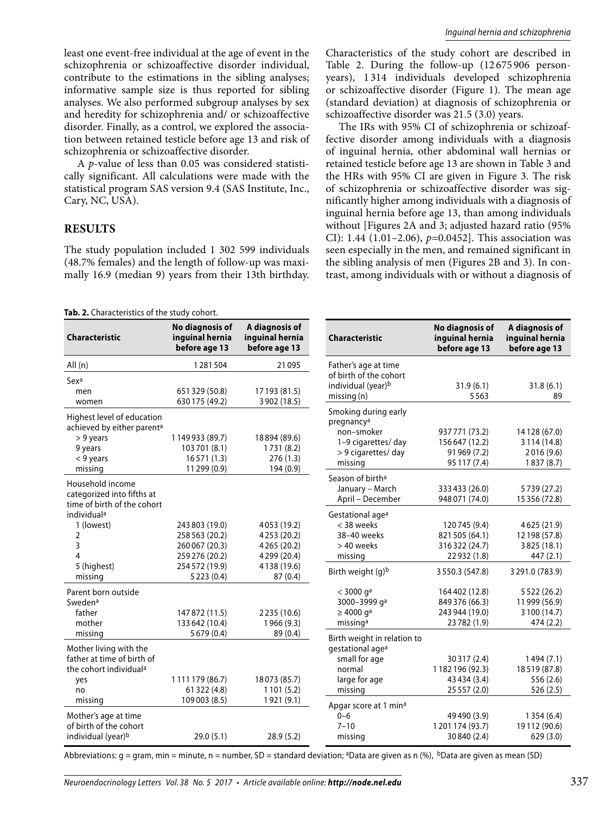A *p*-value of less than 0.05 was considered statistically significant. All calculations were made with the statistical program SAS version 9.4 (SAS Institute, Inc., Cary, NC, USA).

## **RESULTS**

women

> 9 years 9 years < 9 years missing

individuala 1 (lowest) 2 3 4 5 (highest) missing

Swedena father mother missing

> yes no missing

Household income categorized into fifths at time of birth of the cohort

Parent born outside

Mother living with the father at time of birth of the cohort individuala

Mother's age at time of birth of the cohort

Highest level of education achieved by either parent<sup>a</sup>

The study population included 1 302 599 individuals (48.7% females) and the length of follow-up was maximally 16.9 (median 9) years from their 13th birthday.

**No diagnosis of** 

630 175 (49.2)

1 149 933 (89.7) 103 701 (8.1) 16 571 (1.3) 11 299 (0.9)

147 872 (11.5) 133 642 (10.4) 5 679 (0.4)

1 111 179 (86.7) 61 322 (4.8) 109 003 (8.5)

individual (year)<sup>b</sup> 29.0 (5.1) 28.9 (5.2)

**A diagnosis of** 

3 902 (18.5)

18 894 (89.6) 1 731 (8.2) 276 (1.3) 194 (0.9)

2 235 (10.6) 1 966 (9.3) 89 (0.4)

18 073 (85.7) 1 101 (5.2) 1 921 (9.1) Characteristics of the study cohort are described in Table 2. During the follow-up (12 675 906 personyears), 1 314 individuals developed schizophrenia or schizoaffective disorder (Figure 1). The mean age (standard deviation) at diagnosis of schizophrenia or schizoaffective disorder was 21.5 (3.0) years.

The IRs with 95% CI of schizophrenia or schizoaffective disorder among individuals with a diagnosis of inguinal hernia, other abdominal wall hernias or retained testicle before age 13 are shown in Table 3 and the HRs with 95% CI are given in Figure 3. The risk of schizophrenia or schizoaffective disorder was significantly higher among individuals with a diagnosis of inguinal hernia before age 13, than among individuals without [Figures 2A and 3; adjusted hazard ratio (95% CI): 1.44 (1.01–2.06), *p=*0.0452]. This association was seen especially in the men, and remained significant in the sibling analysis of men (Figures 2B and 3). In contrast, among individuals with or without a diagnosis of

| <b>Characteristic</b> | inguinal hernia<br>before age 13 | inguinal hernia<br>before age 13 |
|-----------------------|----------------------------------|----------------------------------|
| All $(n)$             | 1281504                          | 21 0 95                          |
| Sexa<br>men           | 651 329 (50.8)                   | 17 193 (81.5)                    |

**Tab. 2.** Characteristics of the study cohort.

| <b>Characteristic</b>             | No diagnosis of<br>inguinal hernia<br>before age 13 | A diagnosis of<br>inguinal hernia<br>before age 13 |
|-----------------------------------|-----------------------------------------------------|----------------------------------------------------|
| Father's age at time              |                                                     |                                                    |
| of birth of the cohort            |                                                     |                                                    |
| individual (year) <sup>b</sup>    | 31.9(6.1)                                           | 31.8(6.1)                                          |
| missing(n)                        | 5563                                                | 89                                                 |
| Smoking during early              |                                                     |                                                    |
| pregnancy <sup>a</sup>            |                                                     |                                                    |
| non-smoker                        | 937 771 (73.2)                                      | 14 128 (67.0)                                      |
| 1-9 cigarettes/ day               | 156647 (12.2)                                       | 3 1 1 4 (14.8)                                     |
| > 9 cigarettes/ day               | 91 969 (7.2)                                        | 2016 (9.6)                                         |
| missing                           | 95 117 (7.4)                                        | 1837 (8.7)                                         |
| Season of birth <sup>a</sup>      |                                                     |                                                    |
| January - March                   | 333 433 (26.0)                                      | 5739 (27.2)                                        |
| April - December                  | 948 071 (74.0)                                      | 15 356 (72.8)                                      |
| Gestational age <sup>a</sup>      |                                                     |                                                    |
| < 38 weeks                        | 120745 (9.4)                                        | 4625 (21.9)                                        |
| 38-40 weeks                       | 821 505 (64.1)                                      | 12 198 (57.8)                                      |
| > 40 weeks                        | 316322 (24.7)                                       | 3825 (18.1)                                        |
| missing                           | 22932 (1.8)                                         | 447 (2.1)                                          |
| Birth weight (g)b                 | 3550.3 (547.8)                                      | 3 291.0 (783.9)                                    |
| $<$ 3000 $q^a$                    | 164 402 (12.8)                                      | 5 5 2 2 (26.2)                                     |
| 3000-3999 qa                      | 849 376 (66.3)                                      | 11 999 (56.9)                                      |
| $\geq 4000$ g <sup>a</sup>        | 243 944 (19.0)                                      | 3 100 (14.7)                                       |
| missing <sup>a</sup>              | 23 782 (1.9)                                        | 474 (2.2)                                          |
| Birth weight in relation to       |                                                     |                                                    |
| gestational age <sup>a</sup>      |                                                     |                                                    |
| small for age                     | 30 317 (2.4)                                        | 1494 (7.1)                                         |
| normal                            | 1182196 (92.3)                                      | 18519 (87.8)                                       |
| large for age                     | 43 434 (3.4)                                        | 556 (2.6)                                          |
| missing                           | 25 557 (2.0)                                        | 526 (2.5)                                          |
| Apgar score at 1 min <sup>a</sup> |                                                     |                                                    |
| $0 - 6$                           | 49 490 (3.9)                                        | 1 3 5 4 (6.4)                                      |
| $7 - 10$                          | 1201174 (93.7)                                      | 19112 (90.6)                                       |
| missing                           | 30 840 (2.4)                                        | 629 (3.0)                                          |

Abbreviations: g = gram, min = minute, n = number, SD = standard deviation; <sup>a</sup>Data are given as n (%), <sup>b</sup>Data are given as mean (SD)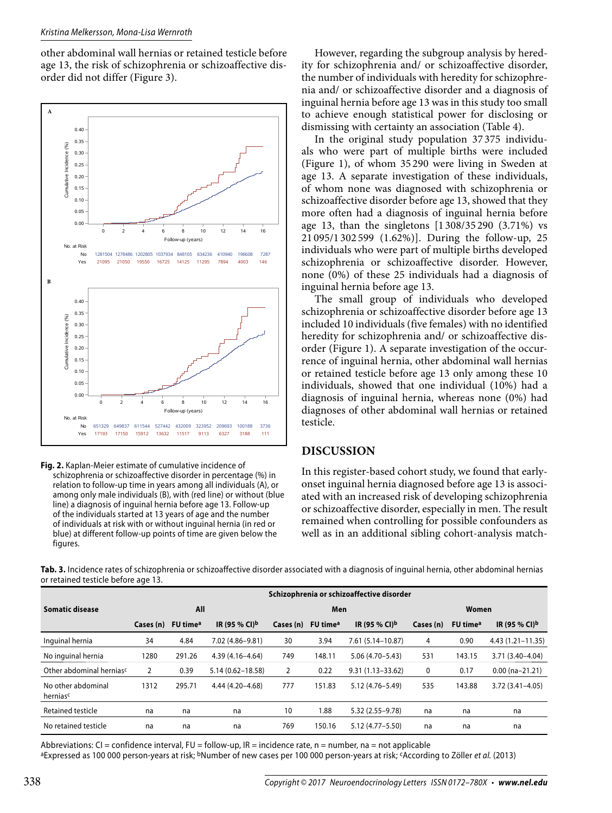#### Kristina Melkersson, Mona-Lisa Wernroth

other abdominal wall hernias or retained testicle before age 13, the risk of schizophrenia or schizoaffective disorder did not differ (Figure 3).





However, regarding the subgroup analysis by heredity for schizophrenia and/ or schizoaffective disorder, the number of individuals with heredity for schizophrenia and/ or schizoaffective disorder and a diagnosis of inguinal hernia before age 13 was in this study too small to achieve enough statistical power for disclosing or dismissing with certainty an association (Table 4).

In the original study population 37 375 individuals who were part of multiple births were included (Figure 1), of whom 35 290 were living in Sweden at age 13. A separate investigation of these individuals, of whom none was diagnosed with schizophrenia or schizoaffective disorder before age 13, showed that they more often had a diagnosis of inguinal hernia before age 13, than the singletons [1 308/35 290 (3.71%) vs 21 095/1 302 599 (1.62%)]. During the follow-up, 25 individuals who were part of multiple births developed schizophrenia or schizoaffective disorder. However, none (0%) of these 25 individuals had a diagnosis of inguinal hernia before age 13.

The small group of individuals who developed schizophrenia or schizoaffective disorder before age 13 included 10 individuals (five females) with no identified heredity for schizophrenia and/ or schizoaffective disorder (Figure 1). A separate investigation of the occurrence of inguinal hernia, other abdominal wall hernias or retained testicle before age 13 only among these 10 individuals, showed that one individual (10%) had a diagnosis of inguinal hernia, whereas none (0%) had diagnoses of other abdominal wall hernias or retained testicle.

## **DISCUSSION**

In this register-based cohort study, we found that earlyonset inguinal hernia diagnosed before age 13 is associated with an increased risk of developing schizophrenia or schizoaffective disorder, especially in men. The result remained when controlling for possible confounders as well as in an additional sibling cohort-analysis match-

**Tab. 3.** Incidence rates of schizophrenia or schizoaffective disorder associated with a diagnosis of inguinal hernia, other abdominal hernias or retained testicle before age 13.

|                                | $\tilde{\phantom{a}}$ |                      |                      |           |                      | Schizophrenia or schizoaffective disorder |           |                      |                           |
|--------------------------------|-----------------------|----------------------|----------------------|-----------|----------------------|-------------------------------------------|-----------|----------------------|---------------------------|
| <b>Somatic disease</b>         |                       | All                  |                      |           | Men                  |                                           |           | Women                |                           |
|                                | Cases (n)             | FU time <sup>a</sup> | IR (95 % CI)b        | Cases (n) | FU time <sup>a</sup> | IR (95 % CI)b                             | Cases (n) | FU time <sup>a</sup> | IR (95 % CI) <sup>b</sup> |
| Inquinal hernia                | 34                    | 4.84                 | 7.02 (4.86-9.81)     | 30        | 3.94                 | 7.61 (5.14-10.87)                         | 4         | 0.90                 | $4.43(1.21 - 11.35)$      |
| No inquinal hernia             | 1280                  | 291.26               | $4.39(4.16 - 4.64)$  | 749       | 148.11               | $5.06(4.70 - 5.43)$                       | 531       | 143.15               | 3.71 (3.40-4.04)          |
| Other abdominal herniasc       | $\overline{2}$        | 0.39                 | $5.14(0.62 - 18.58)$ | 2         | 0.22                 | $9.31(1.13 - 33.62)$                      | 0         | 0.17                 | $0.00$ (na-21.21)         |
| No other abdominal<br>herniasc | 1312                  | 295.71               | 4.44 (4.20 - 4.68)   | 777       | 151.83               | 5.12 (4.76-5.49)                          | 535       | 143.88               | $3.72(3.41 - 4.05)$       |
| Retained testicle              | na                    | na                   | na                   | 10        | 88.1                 | 5.32 (2.55-9.78)                          | na        | na                   | na                        |
| No retained testicle           | na                    | na                   | na                   | 769       | 150.16               | $5.12(4.77 - 5.50)$                       | na        | na                   | na                        |

Abbreviations: CI = confidence interval, FU = follow-up, IR = incidence rate,  $n =$  number, na = not applicable aExpressed as 100 000 person-years at risk; <sup>b</sup>Number of new cases per 100 000 person-years at risk; <sup>c</sup>According to Zöller et al. (2013)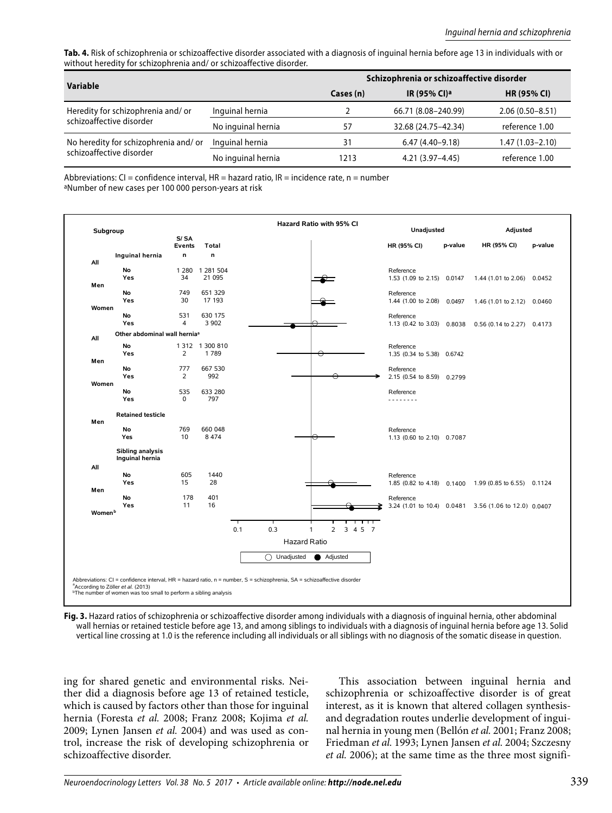**Tab. 4.** Risk of schizophrenia or schizoaffective disorder associated with a diagnosis of inguinal hernia before age 13 in individuals with or without heredity for schizophrenia and/ or schizoaffective disorder.

|                                      |                    | Schizophrenia or schizoaffective disorder |                          |                     |  |  |
|--------------------------------------|--------------------|-------------------------------------------|--------------------------|---------------------|--|--|
| Variable                             |                    | Cases (n)                                 | IR (95% CI) <sup>a</sup> | <b>HR (95% CI)</b>  |  |  |
| Heredity for schizophrenia and/or    | Inquinal hernia    |                                           | 66.71 (8.08-240.99)      | $2.06(0.50 - 8.51)$ |  |  |
| schizoaffective disorder             | No inquinal hernia | 57                                        | 32.68 (24.75-42.34)      | reference 1.00      |  |  |
| No heredity for schizophrenia and/or | Inguinal hernia    | 31                                        | $6.47(4.40 - 9.18)$      | 1.47 (1.03-2.10)    |  |  |
| schizoaffective disorder             | No inguinal hernia | 1213                                      | $4.21(3.97 - 4.45)$      | reference 1.00      |  |  |

Abbreviations: CI = confidence interval, HR = hazard ratio, IR = incidence rate,  $n =$  number aNumber of new cases per 100 000 person-years at risk

| Subgroup           |                                          | S/SA          |                    |                            |                           |                                         |         |                                                       |         |
|--------------------|------------------------------------------|---------------|--------------------|----------------------------|---------------------------|-----------------------------------------|---------|-------------------------------------------------------|---------|
|                    |                                          | <b>Events</b> | Total              |                            |                           | HR (95% CI)                             | p-value | HR (95% CI)                                           | p-value |
| All                | Inguinal hernia                          | n             | n                  |                            |                           |                                         |         |                                                       |         |
|                    | <b>No</b>                                | 1 2 8 0       | 1 281 504          |                            |                           | Reference                               |         |                                                       |         |
|                    | Yes                                      | 34            | 21 0 95            |                            |                           | 1.53 (1.09 to 2.15) 0.0147              |         | 1.44 (1.01 to 2.06) 0.0452                            |         |
| Men                |                                          |               |                    |                            |                           |                                         |         |                                                       |         |
|                    | No<br>Yes                                | 749<br>30     | 651 329<br>17 193  |                            |                           | Reference<br>1.44 (1.00 to 2.08) 0.0497 |         | 1.46 (1.01 to 2.12) 0.0460                            |         |
| Women              |                                          |               |                    |                            |                           |                                         |         |                                                       |         |
|                    | <b>No</b>                                | 531           | 630 175            |                            |                           | Reference                               |         |                                                       |         |
|                    | Yes                                      | 4             | 3 9 0 2            |                            |                           | 1.13 (0.42 to 3.03) 0.8038              |         | 0.56 (0.14 to 2.27) 0.4173                            |         |
| All                | Other abdominal wall hernia <sup>a</sup> |               |                    |                            |                           |                                         |         |                                                       |         |
|                    | <b>No</b>                                |               | 1 312 1 300 810    |                            |                           | Reference                               |         |                                                       |         |
|                    | Yes                                      | 2             | 1789               |                            |                           | 1.35 (0.34 to 5.38) 0.6742              |         |                                                       |         |
| Men                | No                                       | 777           | 667 530            |                            |                           | Reference                               |         |                                                       |         |
|                    | Yes                                      | 2             | 992                |                            |                           | 2.15 (0.54 to 8.59) 0.2799              |         |                                                       |         |
| Women              |                                          |               |                    |                            |                           |                                         |         |                                                       |         |
|                    | No                                       | 535           | 633 280            |                            |                           | Reference                               |         |                                                       |         |
|                    | Yes                                      | $\Omega$      | 797                |                            |                           | .                                       |         |                                                       |         |
|                    | <b>Retained testicle</b>                 |               |                    |                            |                           |                                         |         |                                                       |         |
| Men                | No                                       |               |                    |                            |                           |                                         |         |                                                       |         |
|                    | Yes                                      | 769<br>10     | 660 048<br>8 4 7 4 |                            |                           | Reference<br>1.13 (0.60 to 2.10) 0.7087 |         |                                                       |         |
|                    |                                          |               |                    |                            |                           |                                         |         |                                                       |         |
|                    | Sibling analysis<br>Inguinal hernia      |               |                    |                            |                           |                                         |         |                                                       |         |
| All                |                                          |               |                    |                            |                           |                                         |         |                                                       |         |
|                    | <b>No</b>                                | 605           | 1440               |                            |                           | Reference                               |         |                                                       |         |
|                    | Yes                                      | 15            | 28                 |                            |                           |                                         |         | 1.85 (0.82 to 4.18) 0.1400 1.99 (0.85 to 6.55) 0.1124 |         |
| Men                | No                                       | 178           | 401                |                            |                           |                                         |         |                                                       |         |
|                    | Yes                                      | 11            | 16                 |                            |                           | Reference                               |         | 3.24 (1.01 to 10.4) 0.0481 3.56 (1.06 to 12.0) 0.0407 |         |
| Women <sup>b</sup> |                                          |               |                    |                            |                           |                                         |         |                                                       |         |
|                    |                                          |               |                    |                            | ┯┯                        |                                         |         |                                                       |         |
|                    |                                          |               |                    | 0.3<br>0.1<br>$\mathbf{1}$ | $\overline{2}$<br>3 4 5 7 |                                         |         |                                                       |         |
|                    |                                          |               |                    | Hazard Ratio               |                           |                                         |         |                                                       |         |
|                    |                                          |               |                    | ∩<br>Unadjusted            | Adjusted                  |                                         |         |                                                       |         |
|                    |                                          |               |                    |                            |                           |                                         |         |                                                       |         |
|                    |                                          |               |                    |                            |                           |                                         |         |                                                       |         |

**Fig. 3.** Hazard ratios of schizophrenia or schizoaffective disorder among individuals with a diagnosis of inguinal hernia, other abdominal wall hernias or retained testicle before age 13, and among siblings to individuals with a diagnosis of inguinal hernia before age 13. Solid vertical line crossing at 1.0 is the reference including all individuals or all siblings with no diagnosis of the somatic disease in question.

ing for shared genetic and environmental risks. Neither did a diagnosis before age 13 of retained testicle, which is caused by factors other than those for inguinal hernia (Foresta *et al.* 2008; Franz 2008; Kojima *et al.*  2009; Lynen Jansen *et al.* 2004) and was used as control, increase the risk of developing schizophrenia or schizoaffective disorder.

This association between inguinal hernia and schizophrenia or schizoaffective disorder is of great interest, as it is known that altered collagen synthesisand degradation routes underlie development of inguinal hernia in young men (Bellón *et al.* 2001; Franz 2008; Friedman *et al.* 1993; Lynen Jansen *et al.* 2004; Szczesny *et al.* 2006); at the same time as the three most signifi-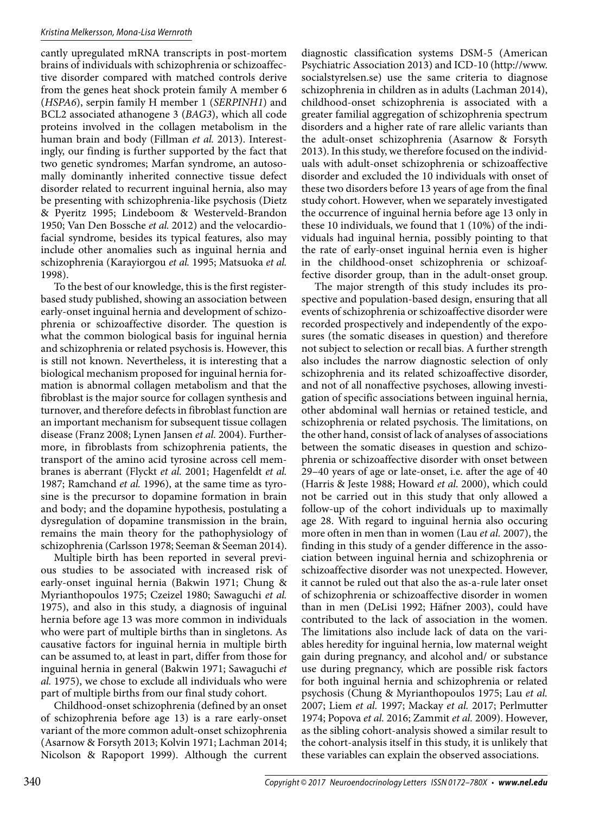cantly upregulated mRNA transcripts in post-mortem brains of individuals with schizophrenia or schizoaffective disorder compared with matched controls derive from the genes heat shock protein family A member 6 (*HSPA6*), serpin family H member 1 (*SERPINH1*) and BCL2 associated athanogene 3 (*BAG3*), which all code proteins involved in the collagen metabolism in the human brain and body (Fillman *et al.* 2013). Interestingly, our finding is further supported by the fact that two genetic syndromes; Marfan syndrome, an autosomally dominantly inherited connective tissue defect disorder related to recurrent inguinal hernia, also may be presenting with schizophrenia-like psychosis (Dietz & Pyeritz 1995; Lindeboom & Westerveld-Brandon 1950; Van Den Bossche *et al.* 2012) and the velocardiofacial syndrome, besides its typical features, also may include other anomalies such as inguinal hernia and schizophrenia (Karayiorgou *et al.* 1995; Matsuoka *et al.*  1998).

To the best of our knowledge, this is the first registerbased study published, showing an association between early-onset inguinal hernia and development of schizophrenia or schizoaffective disorder. The question is what the common biological basis for inguinal hernia and schizophrenia or related psychosis is. However, this is still not known. Nevertheless, it is interesting that a biological mechanism proposed for inguinal hernia formation is abnormal collagen metabolism and that the fibroblast is the major source for collagen synthesis and turnover, and therefore defects in fibroblast function are an important mechanism for subsequent tissue collagen disease (Franz 2008; Lynen Jansen *et al.* 2004). Furthermore, in fibroblasts from schizophrenia patients, the transport of the amino acid tyrosine across cell membranes is aberrant (Flyckt *et al.* 2001; Hagenfeldt *et al.*  1987; Ramchand *et al.* 1996), at the same time as tyrosine is the precursor to dopamine formation in brain and body; and the dopamine hypothesis, postulating a dysregulation of dopamine transmission in the brain, remains the main theory for the pathophysiology of schizophrenia (Carlsson 1978; Seeman & Seeman 2014).

Multiple birth has been reported in several previous studies to be associated with increased risk of early-onset inguinal hernia (Bakwin 1971; Chung & Myrianthopoulos 1975; Czeizel 1980; Sawaguchi *et al.*  1975), and also in this study, a diagnosis of inguinal hernia before age 13 was more common in individuals who were part of multiple births than in singletons. As causative factors for inguinal hernia in multiple birth can be assumed to, at least in part, differ from those for inguinal hernia in general (Bakwin 1971; Sawaguchi *et al.* 1975), we chose to exclude all individuals who were part of multiple births from our final study cohort.

Childhood-onset schizophrenia (defined by an onset of schizophrenia before age 13) is a rare early-onset variant of the more common adult-onset schizophrenia (Asarnow & Forsyth 2013; Kolvin 1971; Lachman 2014; Nicolson & Rapoport 1999). Although the current diagnostic classification systems DSM-5 (American Psychiatric Association 2013) and ICD-10 (http://www. socialstyrelsen.se) use the same criteria to diagnose schizophrenia in children as in adults (Lachman 2014), childhood-onset schizophrenia is associated with a greater familial aggregation of schizophrenia spectrum disorders and a higher rate of rare allelic variants than the adult-onset schizophrenia (Asarnow & Forsyth 2013). In this study, we therefore focused on the individuals with adult-onset schizophrenia or schizoaffective disorder and excluded the 10 individuals with onset of these two disorders before 13 years of age from the final study cohort. However, when we separately investigated the occurrence of inguinal hernia before age 13 only in these 10 individuals, we found that 1 (10%) of the individuals had inguinal hernia, possibly pointing to that the rate of early-onset inguinal hernia even is higher in the childhood-onset schizophrenia or schizoaffective disorder group, than in the adult-onset group.

The major strength of this study includes its prospective and population-based design, ensuring that all events of schizophrenia or schizoaffective disorder were recorded prospectively and independently of the exposures (the somatic diseases in question) and therefore not subject to selection or recall bias. A further strength also includes the narrow diagnostic selection of only schizophrenia and its related schizoaffective disorder, and not of all nonaffective psychoses, allowing investigation of specific associations between inguinal hernia, other abdominal wall hernias or retained testicle, and schizophrenia or related psychosis. The limitations, on the other hand, consist of lack of analyses of associations between the somatic diseases in question and schizophrenia or schizoaffective disorder with onset between 29–40 years of age or late-onset, i.e. after the age of 40 (Harris & Jeste 1988; Howard *et al.* 2000), which could not be carried out in this study that only allowed a follow-up of the cohort individuals up to maximally age 28. With regard to inguinal hernia also occuring more often in men than in women (Lau *et al.* 2007), the finding in this study of a gender difference in the association between inguinal hernia and schizophrenia or schizoaffective disorder was not unexpected. However, it cannot be ruled out that also the as-a-rule later onset of schizophrenia or schizoaffective disorder in women than in men (DeLisi 1992; Häfner 2003), could have contributed to the lack of association in the women. The limitations also include lack of data on the variables heredity for inguinal hernia, low maternal weight gain during pregnancy, and alcohol and/ or substance use during pregnancy, which are possible risk factors for both inguinal hernia and schizophrenia or related psychosis (Chung & Myrianthopoulos 1975; Lau *et al.*  2007; Liem *et al.* 1997; Mackay *et al.* 2017; Perlmutter 1974; Popova *et al.* 2016; Zammit *et al.* 2009). However, as the sibling cohort-analysis showed a similar result to the cohort-analysis itself in this study, it is unlikely that these variables can explain the observed associations.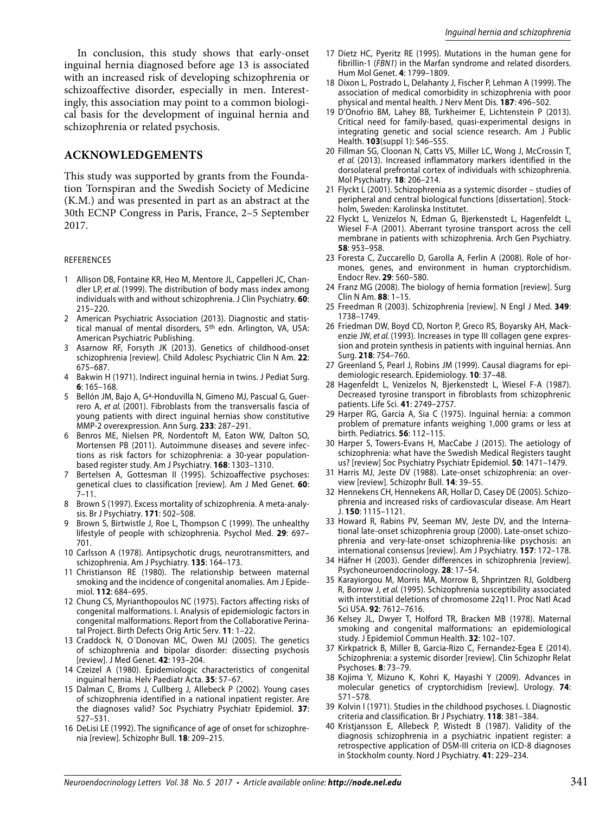In conclusion, this study shows that early-onset inguinal hernia diagnosed before age 13 is associated with an increased risk of developing schizophrenia or schizoaffective disorder, especially in men. Interestingly, this association may point to a common biological basis for the development of inguinal hernia and schizophrenia or related psychosis.

## **ACKNOWLEDGEMENTS**

This study was supported by grants from the Foundation Tornspiran and the Swedish Society of Medicine (K.M.) and was presented in part as an abstract at the 30th ECNP Congress in Paris, France, 2–5 September 2017.

#### REFERENCES

- 1 Allison DB, Fontaine KR, Heo M, Mentore JL, Cappelleri JC, Chandler LP, et al. (1999). The distribution of body mass index among individuals with and without schizophrenia. J Clin Psychiatry. **60**: 215–220.
- 2 American Psychiatric Association (2013). Diagnostic and statistical manual of mental disorders, 5<sup>th</sup> edn. Arlington, VA, USA: American Psychiatric Publishing.
- 3 Asarnow RF, Forsyth JK (2013). Genetics of childhood-onset schizophrenia [review]. Child Adolesc Psychiatric Clin N Am. **22**: 675–687.
- 4 Bakwin H (1971). Indirect inguinal hernia in twins. J Pediat Surg. **6**: 165–168.
- 5 Bellón JM, Bajo A, G<sup>a</sup>-Honduvilla N, Gimeno MJ, Pascual G, Guerrero A, et al. (2001). Fibroblasts from the transversalis fascia of young patients with direct inguinal hernias show constitutive MMP-2 overexpression. Ann Surg. **233**: 287–291.
- 6 Benros ME, Nielsen PR, Nordentoft M, Eaton WW, Dalton SO, Mortensen PB (2011). Autoimmune diseases and severe infections as risk factors for schizophrenia: a 30-year populationbased register study. Am J Psychiatry. **168**: 1303–1310.
- 7 Bertelsen A, Gottesman II (1995). Schizoaffective psychoses: genetical clues to classification [review]. Am J Med Genet. **60**: 7–11.
- 8 Brown S (1997). Excess mortality of schizophrenia. A meta-analysis. Br J Psychiatry. **171**: 502–508.
- Brown S, Birtwistle J, Roe L, Thompson C (1999). The unhealthy lifestyle of people with schizophrenia. Psychol Med. **29**: 697– 701.
- 10 Carlsson A (1978). Antipsychotic drugs, neurotransmitters, and schizophrenia. Am J Psychiatry. **135**: 164–173.
- 11 Christianson RE (1980). The relationship between maternal smoking and the incidence of congenital anomalies. Am J Epidemiol. **112**: 684–695.
- 12 Chung CS, Myrianthopoulos NC (1975). Factors affecting risks of congenital malformations. I. Analysis of epidemiologic factors in congenital malformations. Report from the Collaborative Perinatal Project. Birth Defects Orig Artic Serv. **11**: 1–22.
- 13 Craddock N, O´Donovan MC, Owen MJ (2005). The genetics of schizophrenia and bipolar disorder: dissecting psychosis [review]. J Med Genet. **42**: 193–204.
- 14 Czeizel A (1980). Epidemiologic characteristics of congenital inguinal hernia. Helv Paediatr Acta. **35**: 57–67.
- 15 Dalman C, Broms J, Cullberg J, Allebeck P (2002). Young cases of schizophrenia identified in a national inpatient register. Are the diagnoses valid? Soc Psychiatry Psychiatr Epidemiol. **37**: 527–531.
- 16 DeLisi LE (1992). The significance of age of onset for schizophrenia [review]. Schizophr Bull. **18**: 209–215.
- 17 Dietz HC, Pyeritz RE (1995). Mutations in the human gene for fibrillin-1 (FBN1) in the Marfan syndrome and related disorders. Hum Mol Genet. **4**: 1799–1809.
- 18 Dixon L, Postrado L, Delahanty J, Fischer P, Lehman A (1999). The association of medical comorbidity in schizophrenia with poor physical and mental health. J Nerv Ment Dis. **187**: 496–502.
- 19 D'Onofrio BM, Lahey BB, Turkheimer E, Lichtenstein P (2013). Critical need for family-based, quasi-experimental designs in integrating genetic and social science research. Am J Public Health. **103**(suppl 1): S46–S55.
- 20 Fillman SG, Cloonan N, Catts VS, Miller LC, Wong J, McCrossin T, et al. (2013). Increased inflammatory markers identified in the dorsolateral prefrontal cortex of individuals with schizophrenia. Mol Psychiatry. **18**: 206–214.
- 21 Flyckt L (2001). Schizophrenia as a systemic disorder studies of peripheral and central biological functions [dissertation]. Stockholm, Sweden: Karolinska Institutet.
- 22 Flyckt L, Venizelos N, Edman G, Bjerkenstedt L, Hagenfeldt L, Wiesel F-A (2001). Aberrant tyrosine transport across the cell membrane in patients with schizophrenia. Arch Gen Psychiatry. **58**: 953–958.
- 23 Foresta C, Zuccarello D, Garolla A, Ferlin A (2008). Role of hormones, genes, and environment in human cryptorchidism. Endocr Rev. **29**: 560–580.
- 24 Franz MG (2008). The biology of hernia formation [review]. Surg Clin N Am. **88**: 1–15.
- 25 Freedman R (2003). Schizophrenia [review]. N Engl J Med. **349**: 1738–1749.
- 26 Friedman DW, Boyd CD, Norton P, Greco RS, Boyarsky AH, Mackenzie JW, et al. (1993). Increases in type III collagen gene expression and protein synthesis in patients with inguinal hernias. Ann Surg. **218**: 754–760.
- 27 Greenland S, Pearl J, Robins JM (1999). Causal diagrams for epidemiologic research. Epidemiology. **10**: 37–48.
- 28 Hagenfeldt L, Venizelos N, Bjerkenstedt L, Wiesel F-A (1987). Decreased tyrosine transport in fibroblasts from schizophrenic patients. Life Sci. **41**: 2749–2757.
- 29 Harper RG, Garcia A, Sia C (1975). Inguinal hernia: a common problem of premature infants weighing 1,000 grams or less at birth. Pediatrics. **56**: 112–115.
- 30 Harper S, Towers-Evans H, MacCabe J (2015). The aetiology of schizophrenia: what have the Swedish Medical Registers taught us? [review] Soc Psychiatry Psychiatr Epidemiol. **50**: 1471–1479.
- 31 Harris MJ, Jeste DV (1988). Late-onset schizophrenia: an overview [review]. Schizophr Bull. **14**: 39–55.
- 32 Hennekens CH, Hennekens AR, Hollar D, Casey DE (2005). Schizophrenia and increased risks of cardiovascular disease. Am Heart J. **150**: 1115–1121.
- 33 Howard R, Rabins PV, Seeman MV, Jeste DV, and the International late-onset schizophrenia group (2000). Late-onset schizophrenia and very-late-onset schizophrenia-like psychosis: an international consensus [review]. Am J Psychiatry. **157**: 172–178.
- 34 Häfner H (2003). Gender differences in schizophrenia [review]. Psychoneuroendocrinology. **28**: 17–54.
- 35 Karayiorgou M, Morris MA, Morrow B, Shprintzen RJ, Goldberg R, Borrow J, et al. (1995). Schizophrenia susceptibility associated with interstitial deletions of chromosome 22q11. Proc Natl Acad Sci USA. **92**: 7612–7616.
- 36 Kelsey JL, Dwyer T, Holford TR, Bracken MB (1978). Maternal smoking and congenital malformations: an epidemiological study. J Epidemiol Commun Health. **32**: 102–107.
- 37 Kirkpatrick B, Miller B, Garcia-Rizo C, Fernandez-Egea E (2014). Schizophrenia: a systemic disorder [review]. Clin Schizophr Relat Psychoses. **8**: 73–79.
- 38 Kojima Y, Mizuno K, Kohri K, Hayashi Y (2009). Advances in molecular genetics of cryptorchidism [review]. Urology. **74**: 571–578.
- 39 Kolvin I (1971). Studies in the childhood psychoses. I. Diagnostic criteria and classification. Br J Psychiatry. **118**: 381–384.
- 40 Kristjansson E, Allebeck P, Wistedt B (1987). Validity of the diagnosis schizophrenia in a psychiatric inpatient register: a retrospective application of DSM-III criteria on ICD-8 diagnoses in Stockholm county. Nord J Psychiatry. **41**: 229–234.